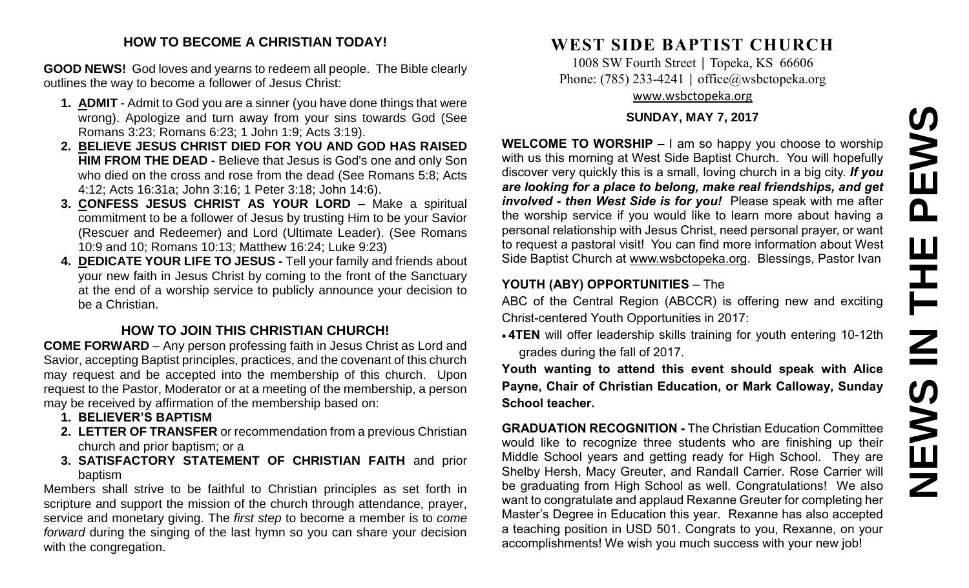# **NEWS IN THE PEWSPEWS** Ш ᆍ  $\overline{\mathbf{z}}$ NEWS

#### **HOW TO BECOME A CHRISTIAN TODAY!**

**GOOD NEWS!** God loves and yearns to redeem all people. The Bible clearly outlines the way to become a follower of Jesus Christ:

- **1. ADMIT** Admit to God you are a sinner (you have done things that were wrong). Apologize and turn away from your sins towards God (See Romans 3:23; Romans 6:23; 1 John 1:9; Acts 3:19).
- **2. BELIEVE JESUS CHRIST DIED FOR YOU AND GOD HAS RAISED HIM FROM THE DEAD -** Believe that Jesus is God's one and only Son who died on the cross and rose from the dead (See Romans 5:8; Acts 4:12; Acts 16:31a; John 3:16; 1 Peter 3:18; John 14:6).
- **3. CONFESS JESUS CHRIST AS YOUR LORD –** Make a spiritual commitment to be a follower of Jesus by trusting Him to be your Savior (Rescuer and Redeemer) and Lord (Ultimate Leader). (See Romans 10:9 and 10; Romans 10:13; Matthew 16:24; Luke 9:23)
- **4. DEDICATE YOUR LIFE TO JESUS -** Tell your family and friends about your new faith in Jesus Christ by coming to the front of the Sanctuary at the end of a worship service to publicly announce your decision to be a Christian.

#### **HOW TO JOIN THIS CHRISTIAN CHURCH!**

**COME FORWARD** – Any person professing faith in Jesus Christ as Lord and Savior, accepting Baptist principles, practices, and the covenant of this church may request and be accepted into the membership of this church. Upon request to the Pastor, Moderator or at a meeting of the membership, a person may be received by affirmation of the membership based on:

- **1. BELIEVER'S BAPTISM**
- **2. LETTER OF TRANSFER** or recommendation from a previous Christian church and prior baptism; or a
- **3. SATISFACTORY STATEMENT OF CHRISTIAN FAITH** and prior baptism

Members shall strive to be faithful to Christian principles as set forth in scripture and support the mission of the church through attendance, prayer, service and monetary giving. The *first step* to become a member is to *come forward* during the singing of the last hymn so you can share your decision with the congregation.

# **WEST SIDE BAPTIST CHURCH**

1008 SW Fourth Street | Topeka, KS 66606 Phone: (785) 233-4241 │ [office@wsbctopeka.org](mailto:office@wsbctopeka.org) [www.wsbctopeka.org](http://www.wsbctopeka.org/)

#### **SUNDAY, MAY 7, 2017**

**WELCOME TO WORSHIP –** I am so happy you choose to worship with us this morning at West Side Baptist Church. You will hopefully discover very quickly this is a small, loving church in a big city. *If you are looking for a place to belong, make real friendships, and get involved - then West Side is for you!* Please speak with me after the worship service if you would like to learn more about having a personal relationship with Jesus Christ, need personal prayer, or want to request a pastoral visit! You can find more information about West Side Baptist Church at [www.wsbctopeka.org.](http://www.wsbctopeka.org/) Blessings, Pastor Ivan

#### **YOUTH (ABY) OPPORTUNITIES** – The

ABC of the Central Region (ABCCR) is offering new and exciting Christ-centered Youth Opportunities in 2017:

• **4TEN** will offer leadership skills training for youth entering 10-12th grades during the fall of 2017.

**Youth wanting to attend this event should speak with Alice Payne, Chair of Christian Education, or Mark Calloway, Sunday School teacher.**

**GRADUATION RECOGNITION -** The Christian Education Committee would like to recognize three students who are finishing up their Middle School years and getting ready for High School. They are Shelby Hersh, Macy Greuter, and Randall Carrier. Rose Carrier will be graduating from High School as well. Congratulations! We also want to congratulate and applaud Rexanne Greuter for completing her Master's Degree in Education this year. Rexanne has also accepted a teaching position in USD 501. Congrats to you, Rexanne, on your accomplishments! We wish you much success with your new job!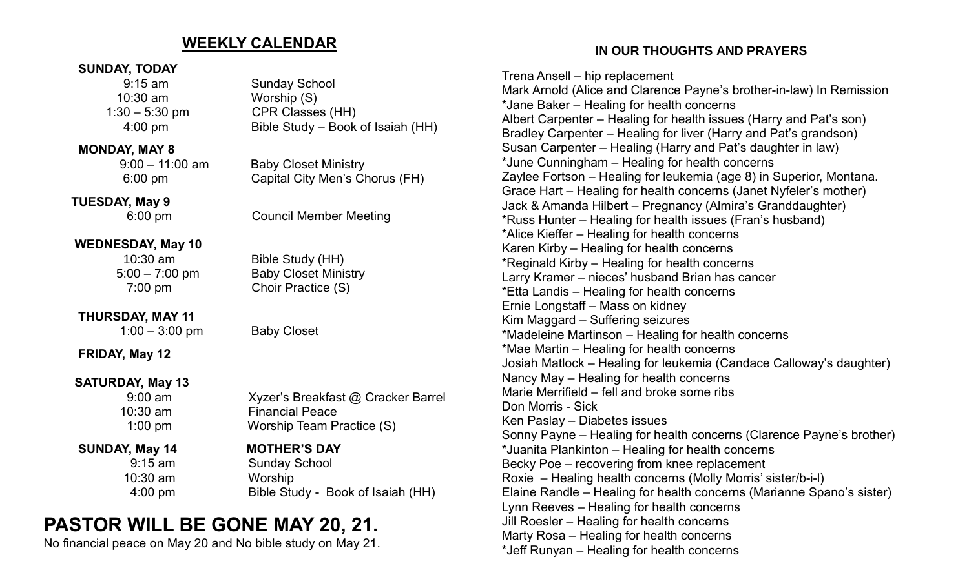#### **WEEKLY CALENDAR**

#### **SUNDAY, TODAY**

10:30 am Worship (S)

#### **MONDAY, MAY 8**

 **TUESDAY, May 9**

#### **WEDNESDAY, May 10**

### **THURSDAY, MAY 11**

1:00 – 3:00 pm Baby Closet

**FRIDAY, May 12**

#### **SATURDAY, May 13**

10:30 am Worship

## 9:15 am Sunday School 1:30 – 5:30 pm CPR Classes (HH) 4:00 pm Bible Study – Book of Isaiah (HH)

 9:00 – 11:00 am Baby Closet Ministry 6:00 pm Capital City Men's Chorus (FH)

6:00 pm Council Member Meeting

 10:30 am Bible Study (HH) 5:00 – 7:00 pm Baby Closet Ministry 7:00 pm Choir Practice (S)

 9:00 am Xyzer's Breakfast @ Cracker Barrel 10:30 am Financial Peace 1:00 pm Worship Team Practice (S)

#### **SUNDAY, May 14 MOTHER'S DAY**

 9:15 am Sunday School 4:00 pm Bible Study - Book of Isaiah (HH)

# **PASTOR WILL BE GONE MAY 20, 21.**

No financial peace on May 20 and No bible study on May 21.

 **IN OUR THOUGHTS AND PRAYERS**

Trena Ansell – hip replacement Mark Arnold (Alice and Clarence Payne's brother-in-law) In Remission \*Jane Baker – Healing for health concerns Albert Carpenter – Healing for health issues (Harry and Pat's son) Bradley Carpenter – Healing for liver (Harry and Pat's grandson) Susan Carpenter – Healing (Harry and Pat's daughter in law) \*June Cunningham – Healing for health concerns Zaylee Fortson – Healing for leukemia (age 8) in Superior, Montana. Grace Hart – Healing for health concerns (Janet Nyfeler's mother) Jack & Amanda Hilbert – Pregnancy (Almira's Granddaughter) \*Russ Hunter – Healing for health issues (Fran's husband) \*Alice Kieffer – Healing for health concerns Karen Kirby – Healing for health concerns \*Reginald Kirby – Healing for health concerns Larry Kramer – nieces' husband Brian has cancer \*Etta Landis – Healing for health concerns Ernie Longstaff – Mass on kidney Kim Maggard – Suffering seizures \*Madeleine Martinson – Healing for health concerns \*Mae Martin – Healing for health concerns Josiah Matlock – Healing for leukemia (Candace Calloway's daughter) Nancy May – Healing for health concerns Marie Merrifield – fell and broke some ribs Don Morris - Sick Ken Paslay – Diabetes issues Sonny Payne – Healing for health concerns (Clarence Payne's brother) \*Juanita Plankinton – Healing for health concerns Becky Poe – recovering from knee replacement Roxie – Healing health concerns (Molly Morris' sister/b-i-l) Elaine Randle – Healing for health concerns (Marianne Spano's sister) Lynn Reeves – Healing for health concerns Jill Roesler – Healing for health concerns Marty Rosa – Healing for health concerns \*Jeff Runyan – Healing for health concerns